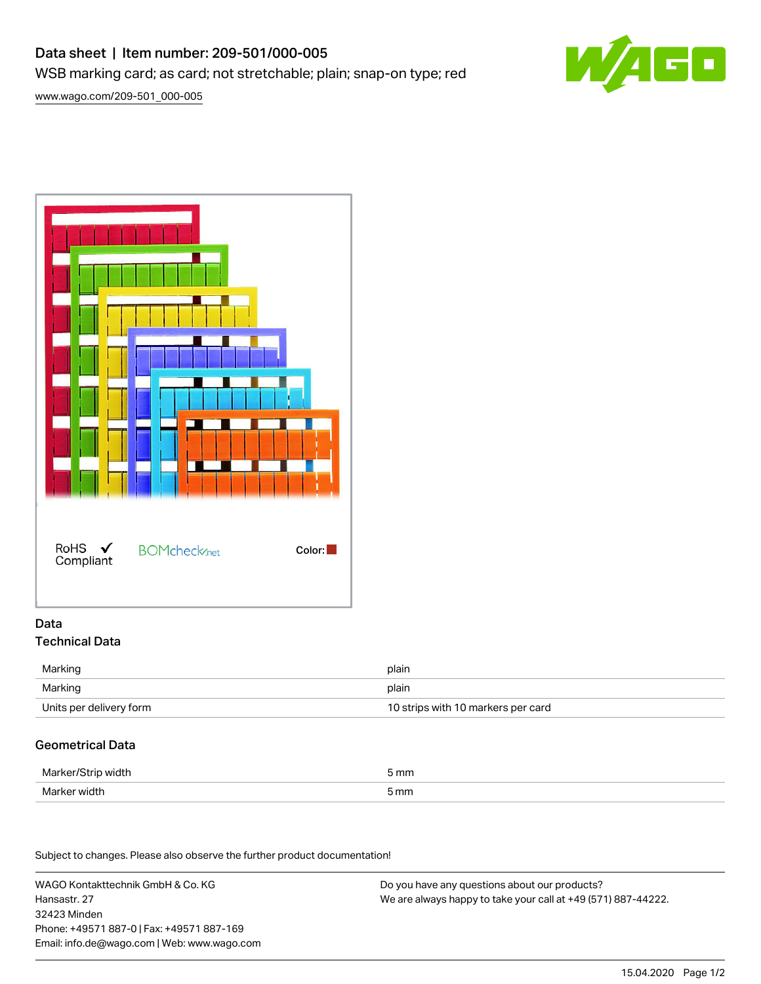# Data sheet | Item number: 209-501/000-005 WSB marking card; as card; not stretchable; plain; snap-on type; red



[www.wago.com/209-501\\_000-005](http://www.wago.com/209-501_000-005)



### Data Technical Data

| Marking                 | plain                              |
|-------------------------|------------------------------------|
| Marking                 | plain                              |
| Units per delivery form | 10 strips with 10 markers per card |

## Geometrical Data

| Marker/Strip width | ັກmm            |
|--------------------|-----------------|
| Marker width       | 5 <sub>mm</sub> |

Subject to changes. Please also observe the further product documentation!

WAGO Kontakttechnik GmbH & Co. KG Hansastr. 27 32423 Minden Phone: +49571 887-0 | Fax: +49571 887-169 Email: info.de@wago.com | Web: www.wago.com

Do you have any questions about our products? We are always happy to take your call at +49 (571) 887-44222.